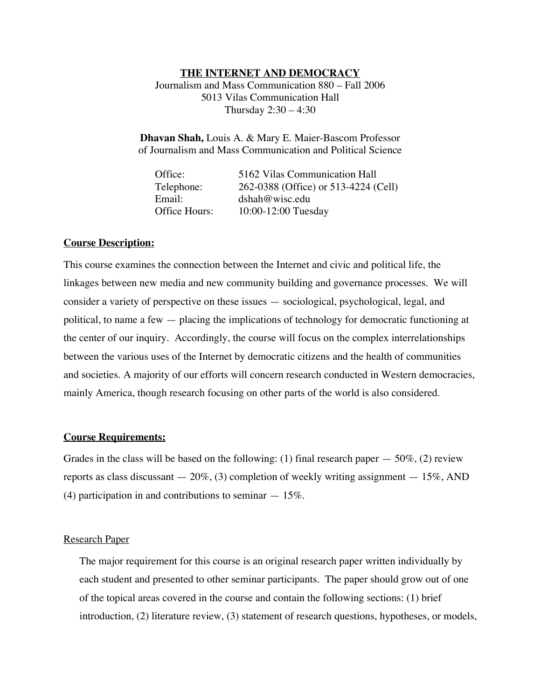## **THE INTERNET AND DEMOCRACY**

Journalism and Mass Communication 880 – Fall 2006 5013 Vilas Communication Hall Thursday 2:30 – 4:30

**Dhavan Shah,** Louis A. & Mary E. Maier-Bascom Professor of Journalism and Mass Communication and Political Science

| Office:       | 5162 Vilas Communication Hall        |
|---------------|--------------------------------------|
| Telephone:    | 262-0388 (Office) or 513-4224 (Cell) |
| Email:        | dshah@wise.edu                       |
| Office Hours: | 10:00-12:00 Tuesday                  |

### **Course Description:**

This course examines the connection between the Internet and civic and political life, the linkages between new media and new community building and governance processes. We will consider a variety of perspective on these issues — sociological, psychological, legal, and political, to name a few — placing the implications of technology for democratic functioning at the center of our inquiry. Accordingly, the course will focus on the complex interrelationships between the various uses of the Internet by democratic citizens and the health of communities and societies. A majority of our efforts will concern research conducted in Western democracies, mainly America, though research focusing on other parts of the world is also considered.

### **Course Requirements:**

Grades in the class will be based on the following: (1) final research paper  $-50\%$ , (2) review reports as class discussant  $-20\%$ , (3) completion of weekly writing assignment  $-15\%$ , AND (4) participation in and contributions to seminar  $-15\%$ .

#### Research Paper

The major requirement for this course is an original research paper written individually by each student and presented to other seminar participants. The paper should grow out of one of the topical areas covered in the course and contain the following sections: (1) brief introduction, (2) literature review, (3) statement of research questions, hypotheses, or models,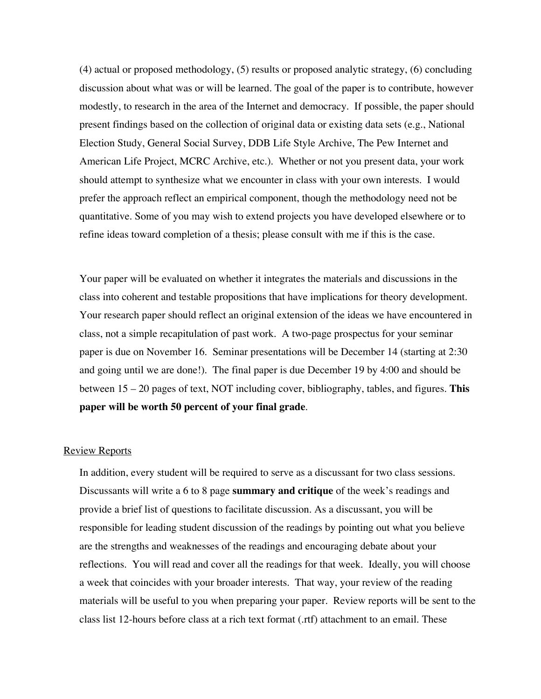(4) actual or proposed methodology, (5) results or proposed analytic strategy, (6) concluding discussion about what was or will be learned. The goal of the paper is to contribute, however modestly, to research in the area of the Internet and democracy. If possible, the paper should present findings based on the collection of original data or existing data sets (e.g., National Election Study, General Social Survey, DDB Life Style Archive, The Pew Internet and American Life Project, MCRC Archive, etc.). Whether or not you present data, your work should attempt to synthesize what we encounter in class with your own interests. I would prefer the approach reflect an empirical component, though the methodology need not be quantitative. Some of you may wish to extend projects you have developed elsewhere or to refine ideas toward completion of a thesis; please consult with me if this is the case.

Your paper will be evaluated on whether it integrates the materials and discussions in the class into coherent and testable propositions that have implications for theory development. Your research paper should reflect an original extension of the ideas we have encountered in class, not a simple recapitulation of past work. A two-page prospectus for your seminar paper is due on November 16. Seminar presentations will be December 14 (starting at 2:30 and going until we are done!). The final paper is due December 19 by 4:00 and should be between 15 – 20 pages of text, NOT including cover, bibliography, tables, and figures. **This paper will be worth 50 percent of your final grade**.

## Review Reports

In addition, every student will be required to serve as a discussant for two class sessions. Discussants will write a 6 to 8 page **summary and critique** of the week's readings and provide a brief list of questions to facilitate discussion. As a discussant, you will be responsible for leading student discussion of the readings by pointing out what you believe are the strengths and weaknesses of the readings and encouraging debate about your reflections. You will read and cover all the readings for that week. Ideally, you will choose a week that coincides with your broader interests. That way, your review of the reading materials will be useful to you when preparing your paper. Review reports will be sent to the class list 12-hours before class at a rich text format (.rtf) attachment to an email. These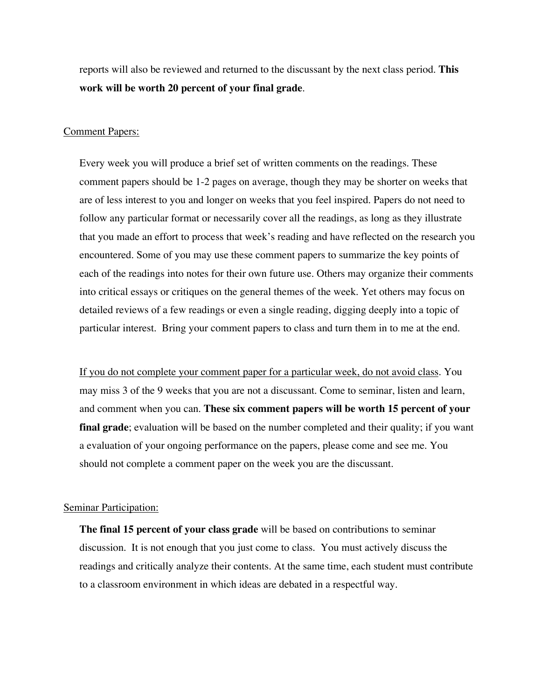reports will also be reviewed and returned to the discussant by the next class period. **This work will be worth 20 percent of your final grade**.

#### Comment Papers:

Every week you will produce a brief set of written comments on the readings. These comment papers should be 1-2 pages on average, though they may be shorter on weeks that are of less interest to you and longer on weeks that you feel inspired. Papers do not need to follow any particular format or necessarily cover all the readings, as long as they illustrate that you made an effort to process that week's reading and have reflected on the research you encountered. Some of you may use these comment papers to summarize the key points of each of the readings into notes for their own future use. Others may organize their comments into critical essays or critiques on the general themes of the week. Yet others may focus on detailed reviews of a few readings or even a single reading, digging deeply into a topic of particular interest. Bring your comment papers to class and turn them in to me at the end.

If you do not complete your comment paper for a particular week, do not avoid class. You may miss 3 of the 9 weeks that you are not a discussant. Come to seminar, listen and learn, and comment when you can. **These six comment papers will be worth 15 percent of your final grade**; evaluation will be based on the number completed and their quality; if you want a evaluation of your ongoing performance on the papers, please come and see me. You should not complete a comment paper on the week you are the discussant.

#### Seminar Participation:

**The final 15 percent of your class grade** will be based on contributions to seminar discussion. It is not enough that you just come to class. You must actively discuss the readings and critically analyze their contents. At the same time, each student must contribute to a classroom environment in which ideas are debated in a respectful way.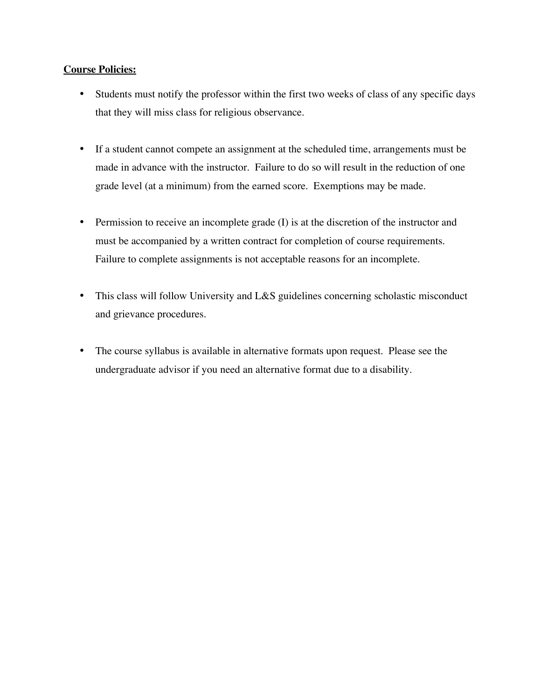## **Course Policies:**

- Students must notify the professor within the first two weeks of class of any specific days that they will miss class for religious observance.
- If a student cannot compete an assignment at the scheduled time, arrangements must be made in advance with the instructor. Failure to do so will result in the reduction of one grade level (at a minimum) from the earned score. Exemptions may be made.
- Permission to receive an incomplete grade (I) is at the discretion of the instructor and must be accompanied by a written contract for completion of course requirements. Failure to complete assignments is not acceptable reasons for an incomplete.
- This class will follow University and L&S guidelines concerning scholastic misconduct and grievance procedures.
- The course syllabus is available in alternative formats upon request. Please see the undergraduate advisor if you need an alternative format due to a disability.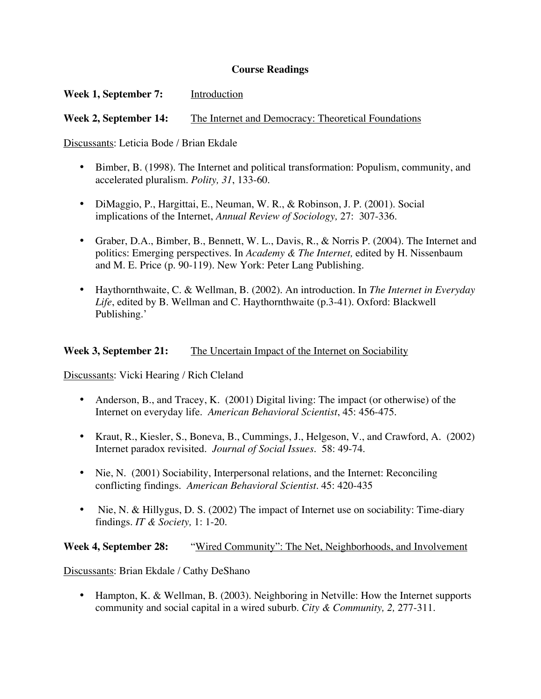## **Course Readings**

# **Week 1, September 7:** Introduction

**Week 2, September 14:** The Internet and Democracy: Theoretical Foundations

Discussants: Leticia Bode / Brian Ekdale

- Bimber, B. (1998). The Internet and political transformation: Populism, community, and accelerated pluralism. *Polity, 31*, 133-60.
- DiMaggio, P., Hargittai, E., Neuman, W. R., & Robinson, J. P. (2001). Social implications of the Internet, *Annual Review of Sociology,* 27: 307-336.
- Graber, D.A., Bimber, B., Bennett, W. L., Davis, R., & Norris P. (2004). The Internet and politics: Emerging perspectives. In *Academy & The Internet,* edited by H. Nissenbaum and M. E. Price (p. 90-119). New York: Peter Lang Publishing.
- Haythornthwaite, C. & Wellman, B. (2002). An introduction. In *The Internet in Everyday Life*, edited by B. Wellman and C. Haythornthwaite (p.3-41). Oxford: Blackwell Publishing.'

## **Week 3, September 21:** The Uncertain Impact of the Internet on Sociability

Discussants: Vicki Hearing / Rich Cleland

- Anderson, B., and Tracey, K. (2001) Digital living: The impact (or otherwise) of the Internet on everyday life. *American Behavioral Scientist*, 45: 456-475.
- Kraut, R., Kiesler, S., Boneva, B., Cummings, J., Helgeson, V., and Crawford, A. (2002) Internet paradox revisited. *Journal of Social Issues*. 58: 49-74.
- Nie, N. (2001) Sociability, Interpersonal relations, and the Internet: Reconciling conflicting findings. *American Behavioral Scientist.* 45: 420-435
- Nie, N. & Hillygus, D. S. (2002) The impact of Internet use on sociability: Time-diary findings. *IT & Society,* 1: 1-20.

**Week 4, September 28:** "Wired Community": The Net, Neighborhoods, and Involvement

Discussants: Brian Ekdale / Cathy DeShano

• Hampton, K. & Wellman, B. (2003). Neighboring in Netville: How the Internet supports community and social capital in a wired suburb. *City & Community, 2,* 277-311.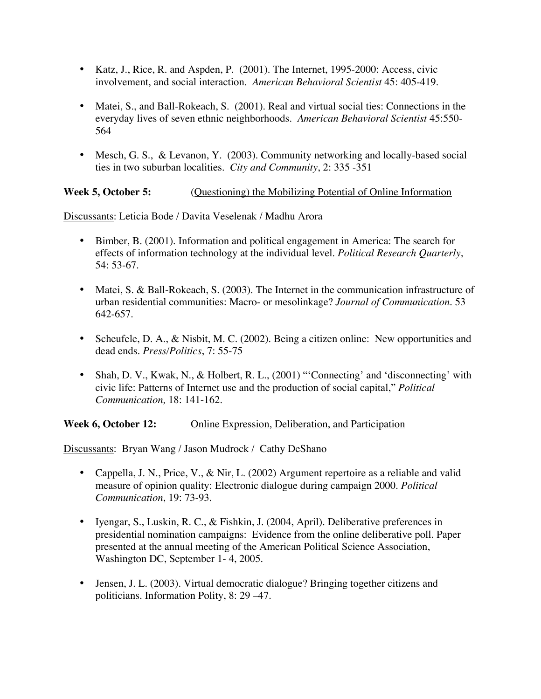- Katz, J., Rice, R. and Aspden, P. (2001). The Internet, 1995-2000: Access, civic involvement, and social interaction. *American Behavioral Scientist* 45: 405-419.
- Matei, S., and Ball-Rokeach, S. (2001). Real and virtual social ties: Connections in the everyday lives of seven ethnic neighborhoods. *American Behavioral Scientist* 45:550- 564
- Mesch, G. S., & Levanon, Y. (2003). Community networking and locally-based social ties in two suburban localities. *City and Community*, 2: 335 -351

**Week 5, October 5:** (Questioning) the Mobilizing Potential of Online Information

Discussants: Leticia Bode / Davita Veselenak / Madhu Arora

- Bimber, B. (2001). Information and political engagement in America: The search for effects of information technology at the individual level. *Political Research Quarterly*, 54: 53-67.
- Matei, S. & Ball-Rokeach, S. (2003). The Internet in the communication infrastructure of urban residential communities: Macro- or mesolinkage? *Journal of Communication*. 53 642-657.
- Scheufele, D. A., & Nisbit, M. C. (2002). Being a citizen online: New opportunities and dead ends. *Press/Politics*, 7: 55-75
- Shah, D. V., Kwak, N., & Holbert, R. L., (2001) "'Connecting' and 'disconnecting' with civic life: Patterns of Internet use and the production of social capital," *Political Communication,* 18: 141-162.

**Week 6, October 12:** Online Expression, Deliberation, and Participation

Discussants: Bryan Wang / Jason Mudrock / Cathy DeShano

- Cappella, J. N., Price, V., & Nir, L. (2002) Argument repertoire as a reliable and valid measure of opinion quality: Electronic dialogue during campaign 2000. *Political Communication*, 19: 73-93.
- Iyengar, S., Luskin, R. C., & Fishkin, J. (2004, April). Deliberative preferences in presidential nomination campaigns: Evidence from the online deliberative poll. Paper presented at the annual meeting of the American Political Science Association, Washington DC, September 1- 4, 2005.
- Jensen, J. L. (2003). Virtual democratic dialogue? Bringing together citizens and politicians. Information Polity, 8: 29 –47.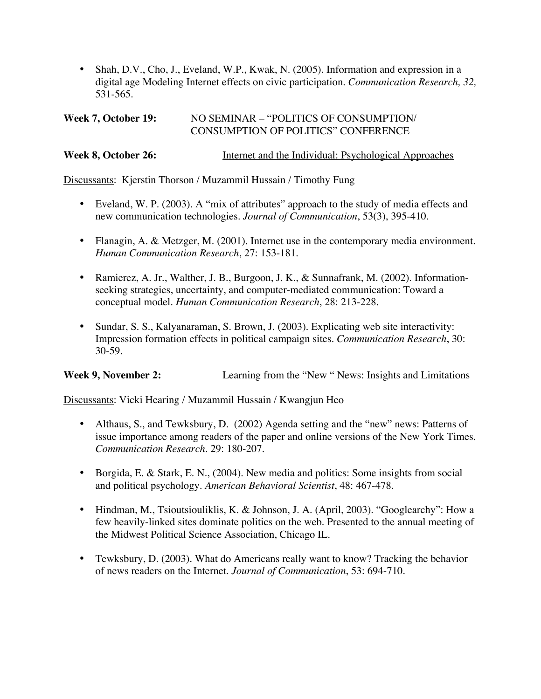• Shah, D.V., Cho, J., Eveland, W.P., Kwak, N. (2005). Information and expression in a digital age Modeling Internet effects on civic participation. *Communication Research, 32,* 531-565.

# Week 7, October 19: NO SEMINAR – "POLITICS OF CONSUMPTION/ CONSUMPTION OF POLITICS" CONFERENCE

# **Week 8, October 26:** Internet and the Individual: Psychological Approaches

Discussants: Kjerstin Thorson / Muzammil Hussain / Timothy Fung

- Eveland, W. P. (2003). A "mix of attributes" approach to the study of media effects and new communication technologies. *Journal of Communication*, 53(3), 395-410.
- Flanagin, A. & Metzger, M. (2001). Internet use in the contemporary media environment. *Human Communication Research*, 27: 153-181.
- Ramierez, A. Jr., Walther, J. B., Burgoon, J. K., & Sunnafrank, M. (2002). Informationseeking strategies, uncertainty, and computer-mediated communication: Toward a conceptual model. *Human Communication Research*, 28: 213-228.
- Sundar, S. S., Kalyanaraman, S. Brown, J. (2003). Explicating web site interactivity: Impression formation effects in political campaign sites. *Communication Research*, 30: 30-59.

# **Week 9, November 2:** Learning from the "New " News: Insights and Limitations

Discussants: Vicki Hearing / Muzammil Hussain / Kwangjun Heo

- Althaus, S., and Tewksbury, D. (2002) Agenda setting and the "new" news: Patterns of issue importance among readers of the paper and online versions of the New York Times. *Communication Research.* 29: 180-207.
- Borgida, E. & Stark, E. N., (2004). New media and politics: Some insights from social and political psychology. *American Behavioral Scientist*, 48: 467-478.
- Hindman, M., Tsioutsiouliklis, K. & Johnson, J. A. (April, 2003). "Googlearchy": How a few heavily-linked sites dominate politics on the web. Presented to the annual meeting of the Midwest Political Science Association, Chicago IL.
- Tewksbury, D. (2003). What do Americans really want to know? Tracking the behavior of news readers on the Internet. *Journal of Communication*, 53: 694-710.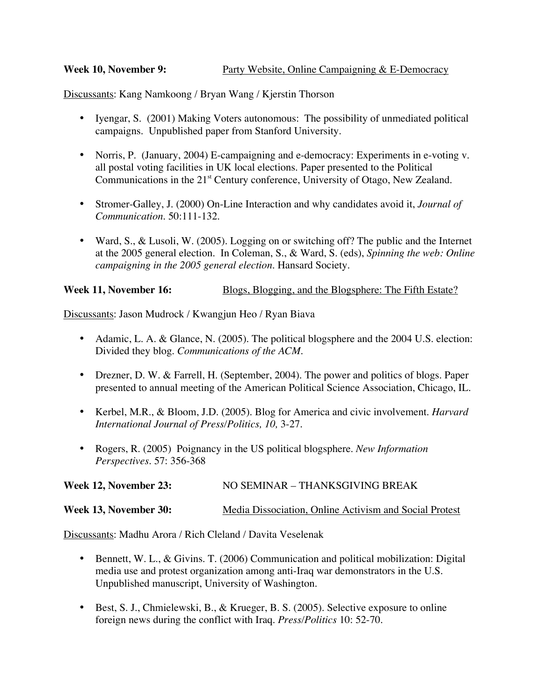Discussants: Kang Namkoong / Bryan Wang / Kjerstin Thorson

- Iyengar, S. (2001) Making Voters autonomous: The possibility of unmediated political campaigns. Unpublished paper from Stanford University.
- Norris, P. (January, 2004) E-campaigning and e-democracy: Experiments in e-voting v. all postal voting facilities in UK local elections. Paper presented to the Political Communications in the 21<sup>st</sup> Century conference, University of Otago, New Zealand.
- Stromer-Galley, J. (2000) On-Line Interaction and why candidates avoid it, *Journal of Communication*. 50:111-132.
- Ward, S., & Lusoli, W. (2005). Logging on or switching off? The public and the Internet at the 2005 general election. In Coleman, S., & Ward, S. (eds), *Spinning the web: Online campaigning in the 2005 general election.* Hansard Society.

# **Week 11, November 16:** Blogs, Blogging, and the Blogsphere: The Fifth Estate?

Discussants: Jason Mudrock / Kwangjun Heo / Ryan Biava

- Adamic, L. A. & Glance, N. (2005). The political blogsphere and the 2004 U.S. election: Divided they blog. *Communications of the ACM.*
- Drezner, D. W. & Farrell, H. (September, 2004). The power and politics of blogs. Paper presented to annual meeting of the American Political Science Association, Chicago, IL.
- Kerbel, M.R., & Bloom, J.D. (2005). Blog for America and civic involvement. *Harvard International Journal of Press/Politics, 10,* 3-27.
- Rogers, R. (2005) Poignancy in the US political blogsphere. *New Information Perspectives*. 57: 356-368

Week 12, November 23: NO SEMINAR – THANKSGIVING BREAK

## Week 13, November 30: Media Dissociation, Online Activism and Social Protest

Discussants: Madhu Arora / Rich Cleland / Davita Veselenak

- Bennett, W. L., & Givins. T. (2006) Communication and political mobilization: Digital media use and protest organization among anti-Iraq war demonstrators in the U.S. Unpublished manuscript, University of Washington.
- Best, S. J., Chmielewski, B., & Krueger, B. S. (2005). Selective exposure to online foreign news during the conflict with Iraq. *Press/Politics* 10: 52-70.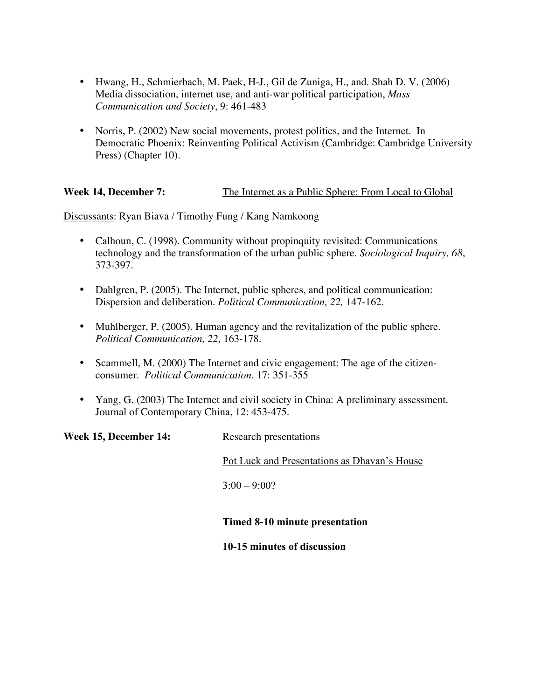- Hwang, H., Schmierbach, M. Paek, H-J., Gil de Zuniga, H., and. Shah D. V. (2006) Media dissociation, internet use, and anti-war political participation, *Mass Communication and Society*, 9: 461-483
- Norris, P. (2002) New social movements, protest politics, and the Internet. In Democratic Phoenix: Reinventing Political Activism (Cambridge: Cambridge University Press) (Chapter 10).

**Week 14, December 7:** The Internet as a Public Sphere: From Local to Global

Discussants: Ryan Biava / Timothy Fung / Kang Namkoong

- Calhoun, C. (1998). Community without propinquity revisited: Communications technology and the transformation of the urban public sphere. *Sociological Inquiry, 68*, 373-397.
- Dahlgren, P. (2005). The Internet, public spheres, and political communication: Dispersion and deliberation. *Political Communication, 22,* 147-162.
- Muhlberger, P. (2005). Human agency and the revitalization of the public sphere. *Political Communication, 22,* 163-178.
- Scammell, M. (2000) The Internet and civic engagement: The age of the citizenconsumer. *Political Communication*. 17: 351-355
- Yang, G. (2003) The Internet and civil society in China: A preliminary assessment. Journal of Contemporary China, 12: 453-475.

Week 15, December 14: Research presentations

Pot Luck and Presentations as Dhavan's House

 $3:00 - 9:00?$ 

## Timed 8-10 minute presentation

10-15 minutes of discussion